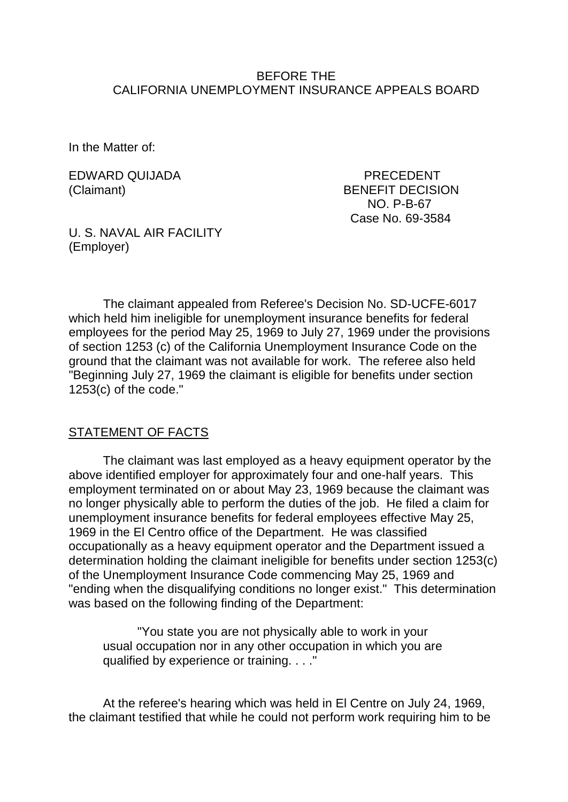#### BEFORE THE CALIFORNIA UNEMPLOYMENT INSURANCE APPEALS BOARD

In the Matter of:

EDWARD QUIJADA PRECEDENT

(Claimant) BENEFIT DECISION NO. P-B-67 Case No. 69-3584

U. S. NAVAL AIR FACILITY (Employer)

The claimant appealed from Referee's Decision No. SD-UCFE-6017 which held him ineligible for unemployment insurance benefits for federal employees for the period May 25, 1969 to July 27, 1969 under the provisions of section 1253 (c) of the California Unemployment Insurance Code on the ground that the claimant was not available for work. The referee also held "Beginning July 27, 1969 the claimant is eligible for benefits under section 1253(c) of the code."

#### STATEMENT OF FACTS

The claimant was last employed as a heavy equipment operator by the above identified employer for approximately four and one-half years. This employment terminated on or about May 23, 1969 because the claimant was no longer physically able to perform the duties of the job. He filed a claim for unemployment insurance benefits for federal employees effective May 25, 1969 in the El Centro office of the Department. He was classified occupationally as a heavy equipment operator and the Department issued a determination holding the claimant ineligible for benefits under section 1253(c) of the Unemployment Insurance Code commencing May 25, 1969 and "ending when the disqualifying conditions no longer exist." This determination was based on the following finding of the Department:

"You state you are not physically able to work in your usual occupation nor in any other occupation in which you are qualified by experience or training. . . ."

At the referee's hearing which was held in El Centre on July 24, 1969, the claimant testified that while he could not perform work requiring him to be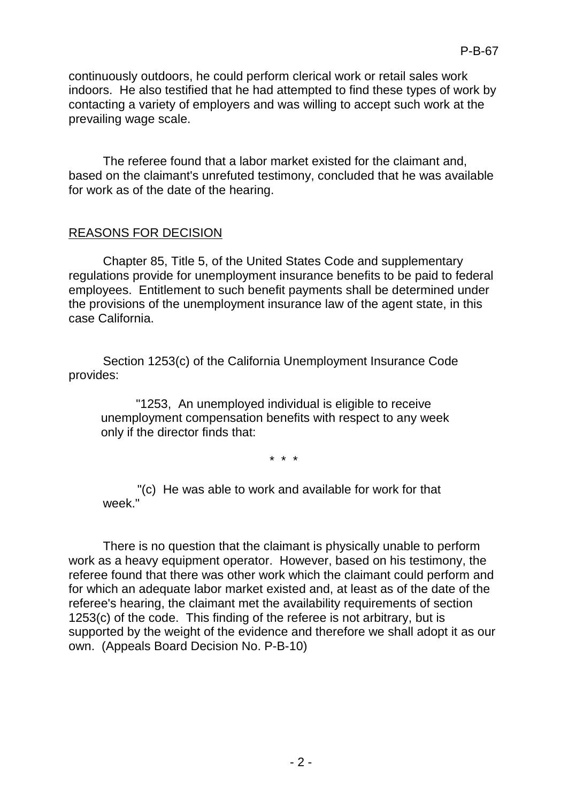The referee found that a labor market existed for the claimant and, based on the claimant's unrefuted testimony, concluded that he was available for work as of the date of the hearing.

## REASONS FOR DECISION

Chapter 85, Title 5, of the United States Code and supplementary regulations provide for unemployment insurance benefits to be paid to federal employees. Entitlement to such benefit payments shall be determined under the provisions of the unemployment insurance law of the agent state, in this case California.

Section 1253(c) of the California Unemployment Insurance Code provides:

"1253, An unemployed individual is eligible to receive unemployment compensation benefits with respect to any week only if the director finds that:

\* \* \*

"(c) He was able to work and available for work for that week."

There is no question that the claimant is physically unable to perform work as a heavy equipment operator. However, based on his testimony, the referee found that there was other work which the claimant could perform and for which an adequate labor market existed and, at least as of the date of the referee's hearing, the claimant met the availability requirements of section 1253(c) of the code. This finding of the referee is not arbitrary, but is supported by the weight of the evidence and therefore we shall adopt it as our own. (Appeals Board Decision No. P-B-10)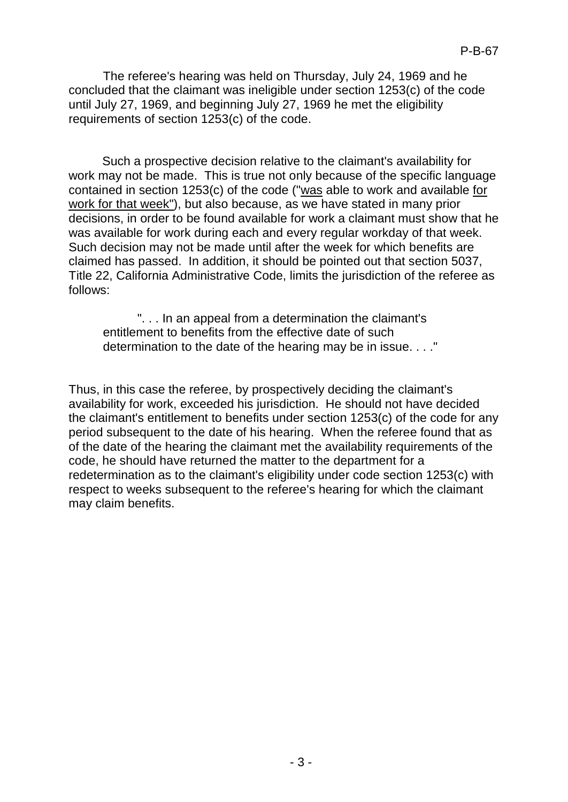The referee's hearing was held on Thursday, July 24, 1969 and he concluded that the claimant was ineligible under section 1253(c) of the code until July 27, 1969, and beginning July 27, 1969 he met the eligibility requirements of section 1253(c) of the code.

Such a prospective decision relative to the claimant's availability for work may not be made. This is true not only because of the specific language contained in section 1253(c) of the code ("was able to work and available for work for that week"), but also because, as we have stated in many prior decisions, in order to be found available for work a claimant must show that he was available for work during each and every regular workday of that week. Such decision may not be made until after the week for which benefits are claimed has passed. In addition, it should be pointed out that section 5037, Title 22, California Administrative Code, limits the jurisdiction of the referee as follows:

". . . In an appeal from a determination the claimant's entitlement to benefits from the effective date of such determination to the date of the hearing may be in issue. . . ."

Thus, in this case the referee, by prospectively deciding the claimant's availability for work, exceeded his jurisdiction. He should not have decided the claimant's entitlement to benefits under section 1253(c) of the code for any period subsequent to the date of his hearing. When the referee found that as of the date of the hearing the claimant met the availability requirements of the code, he should have returned the matter to the department for a redetermination as to the claimant's eligibility under code section 1253(c) with respect to weeks subsequent to the referee's hearing for which the claimant may claim benefits.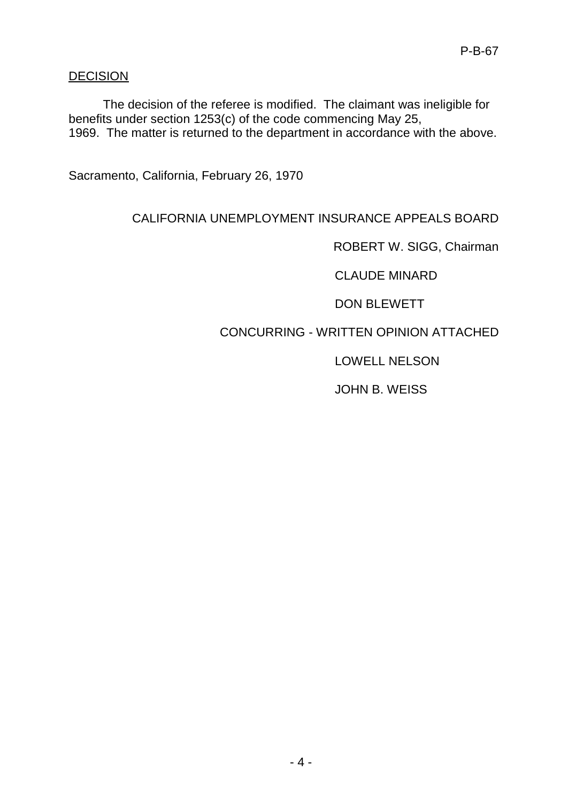### **DECISION**

The decision of the referee is modified. The claimant was ineligible for benefits under section 1253(c) of the code commencing May 25, 1969. The matter is returned to the department in accordance with the above.

Sacramento, California, February 26, 1970

## CALIFORNIA UNEMPLOYMENT INSURANCE APPEALS BOARD

ROBERT W. SIGG, Chairman

CLAUDE MINARD

DON BLEWETT

# CONCURRING - WRITTEN OPINION ATTACHED

LOWELL NELSON

JOHN B. WEISS